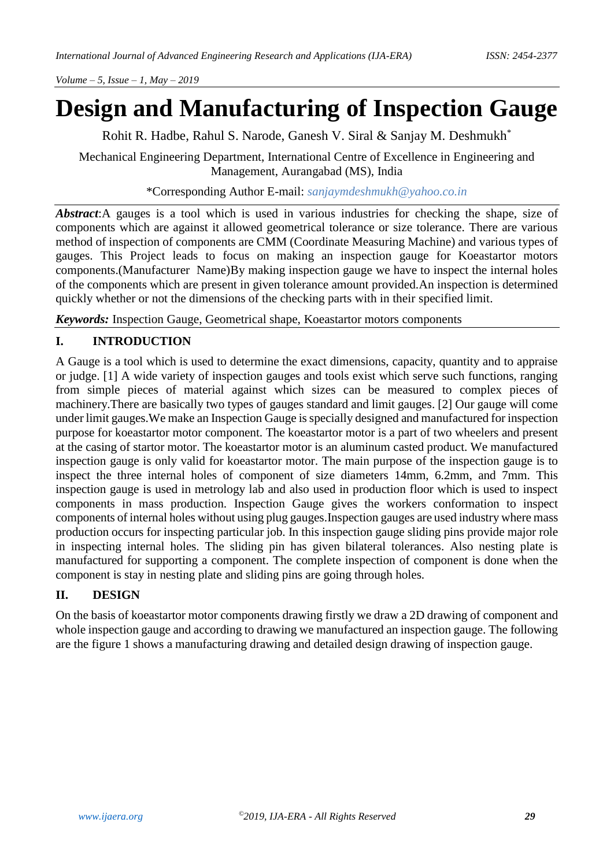# **Design and Manufacturing of Inspection Gauge**

Rohit R. Hadbe, Rahul S. Narode, Ganesh V. Siral & Sanjay M. Deshmukh\*

Mechanical Engineering Department, International Centre of Excellence in Engineering and Management, Aurangabad (MS), India

\*Corresponding Author E-mail: *[sanjaymdeshmukh@yahoo.co.in](mailto:sanjaymdeshmukh@yahoo.co.in)*

*Abstract*:A gauges is a tool which is used in various industries for checking the shape, size of components which are against it allowed geometrical tolerance or size tolerance. There are various method of inspection of components are CMM (Coordinate Measuring Machine) and various types of gauges. This Project leads to focus on making an inspection gauge for Koeastartor motors components.(Manufacturer Name)By making inspection gauge we have to inspect the internal holes of the components which are present in given tolerance amount provided.An inspection is determined quickly whether or not the dimensions of the checking parts with in their specified limit.

*Keywords:* Inspection Gauge, Geometrical shape, Koeastartor motors components

## **I. INTRODUCTION**

A Gauge is a tool which is used to determine the exact dimensions, capacity, quantity and to appraise or judge. [1] A wide variety of inspection gauges and tools exist which serve such functions, ranging from simple pieces of material against which sizes can be measured to complex pieces of machinery.There are basically two types of gauges standard and limit gauges. [2] Our gauge will come under limit gauges.We make an Inspection Gauge is specially designed and manufactured for inspection purpose for koeastartor motor component. The koeastartor motor is a part of two wheelers and present at the casing of startor motor. The koeastartor motor is an aluminum casted product. We manufactured inspection gauge is only valid for koeastartor motor. The main purpose of the inspection gauge is to inspect the three internal holes of component of size diameters 14mm, 6.2mm, and 7mm. This inspection gauge is used in metrology lab and also used in production floor which is used to inspect components in mass production. Inspection Gauge gives the workers conformation to inspect components of internal holes without using plug gauges.Inspection gauges are used industry where mass production occurs for inspecting particular job. In this inspection gauge sliding pins provide major role in inspecting internal holes. The sliding pin has given bilateral tolerances. Also nesting plate is manufactured for supporting a component. The complete inspection of component is done when the component is stay in nesting plate and sliding pins are going through holes.

# **II. DESIGN**

On the basis of koeastartor motor components drawing firstly we draw a 2D drawing of component and whole inspection gauge and according to drawing we manufactured an inspection gauge. The following are the figure 1 shows a manufacturing drawing and detailed design drawing of inspection gauge.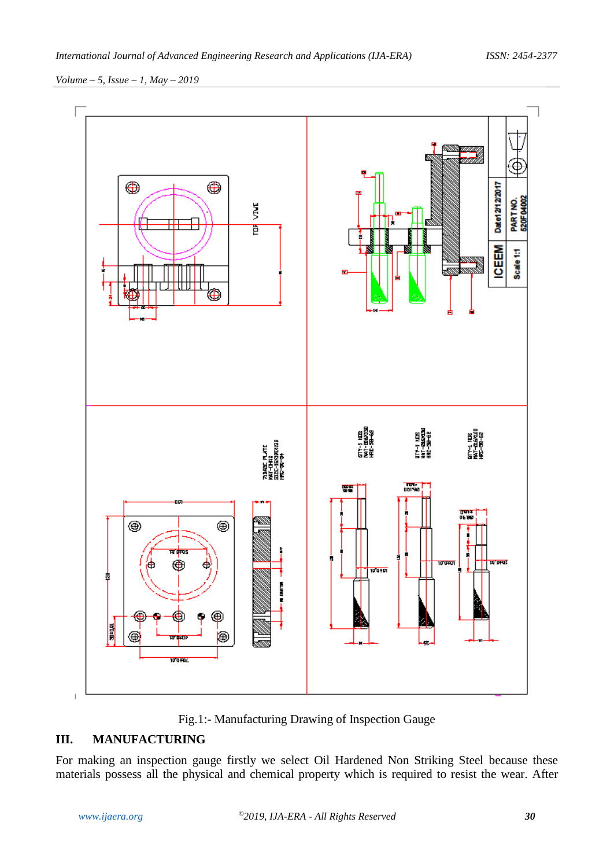

Fig.1:- Manufacturing Drawing of Inspection Gauge

## **III. MANUFACTURING**

For making an inspection gauge firstly we select Oil Hardened Non Striking Steel because these materials possess all the physical and chemical property which is required to resist the wear. After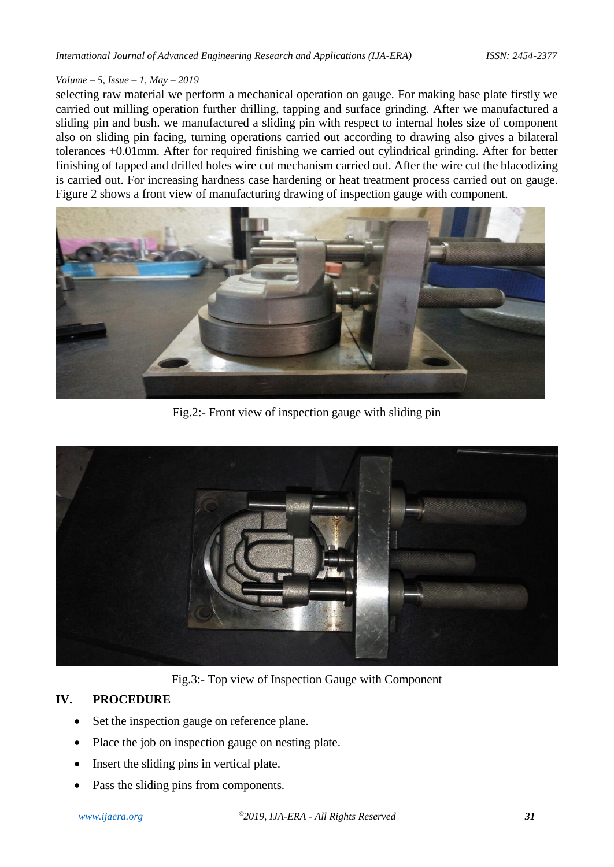selecting raw material we perform a mechanical operation on gauge. For making base plate firstly we carried out milling operation further drilling, tapping and surface grinding. After we manufactured a sliding pin and bush. we manufactured a sliding pin with respect to internal holes size of component also on sliding pin facing, turning operations carried out according to drawing also gives a bilateral tolerances +0.01mm. After for required finishing we carried out cylindrical grinding. After for better finishing of tapped and drilled holes wire cut mechanism carried out. After the wire cut the blacodizing is carried out. For increasing hardness case hardening or heat treatment process carried out on gauge. Figure 2 shows a front view of manufacturing drawing of inspection gauge with component.



Fig.2:- Front view of inspection gauge with sliding pin



Fig.3:- Top view of Inspection Gauge with Component

## **IV. PROCEDURE**

- Set the inspection gauge on reference plane.
- Place the job on inspection gauge on nesting plate.
- Insert the sliding pins in vertical plate.
- Pass the sliding pins from components.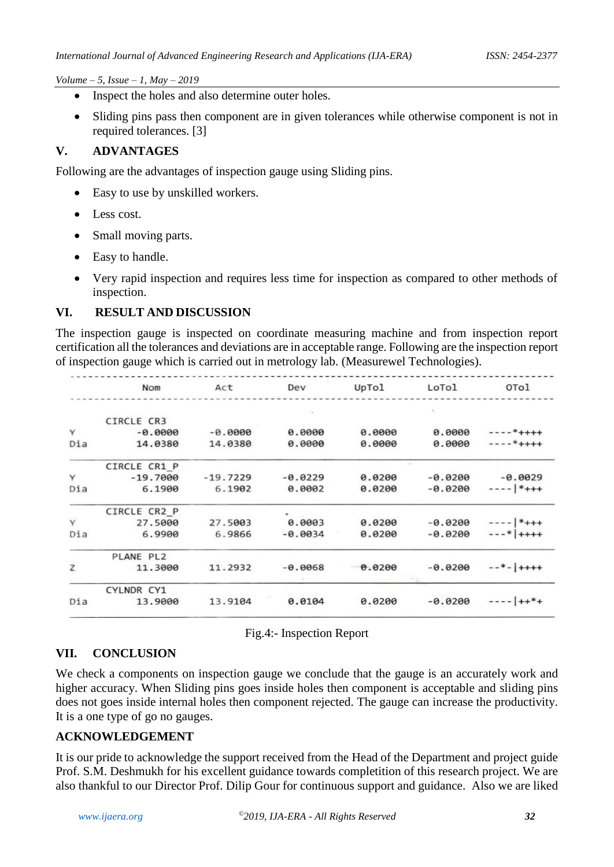- Inspect the holes and also determine outer holes.
- Sliding pins pass then component are in given tolerances while otherwise component is not in required tolerances. [3]

#### **V. ADVANTAGES**

Following are the advantages of inspection gauge using Sliding pins.

- Easy to use by unskilled workers.
- Less cost.
- Small moving parts.
- Easy to handle.
- Very rapid inspection and requires less time for inspection as compared to other methods of inspection.

## **VI. RESULT AND DISCUSSION**

The inspection gauge is inspected on coordinate measuring machine and from inspection report certification all the tolerances and deviations are in acceptable range. Following are the inspection report of inspection gauge which is carried out in metrology lab. (Measurewel Technologies).

|     | <b>Nom</b>   | Act        | Dev       | UpTol  | LoTol     | OTol         |
|-----|--------------|------------|-----------|--------|-----------|--------------|
|     |              |            |           |        |           |              |
|     | CIRCLE CR3   |            |           |        |           |              |
| Y   | $-0.0000$    | $-0.0000$  | 0.0000    | 0.0000 | 0.0000    | $---*++++$   |
| Dia | 14.0380      | 14.0380    | 0.0000    | 0.0000 | 0.0000    | $---*++++$   |
|     | CIRCLE CR1 P |            |           |        |           |              |
| Y   | $-19.7000$   | $-19.7229$ | $-0.0229$ | 0.0200 | $-0.0200$ | $-0.0029$    |
| Dia | 6.1900       | 6.1902     | 0.0002    | 0.0200 | $-0.0200$ | $-- *$ +++   |
|     | CIRCLE CR2_P |            |           |        |           |              |
| Y   | 27.5000      | 27.5003    | 0.0003    | 0.0200 | $-0.0200$ | $-- *$ +++   |
| Dia | 6.9900       | 6.9866     | $-0.0034$ | 0.0200 | $-0.0200$ | $---* +++$   |
|     | PLANE PL2    |            |           |        |           |              |
| z   | 11,3000      | 11.2932    | $-0.0068$ | 0.0200 | $-0.0200$ | $---*- ++++$ |
|     | CYLNDR CY1   |            |           |        |           |              |
| Dia | 13.9000      | 13.9104    | 0.0104    | 0.0200 | $-0.0200$ | $--- ++*+$   |
|     |              |            |           |        |           |              |

Fig.4:- Inspection Report

## **VII. CONCLUSION**

We check a components on inspection gauge we conclude that the gauge is an accurately work and higher accuracy. When Sliding pins goes inside holes then component is acceptable and sliding pins does not goes inside internal holes then component rejected. The gauge can increase the productivity. It is a one type of go no gauges.

#### **ACKNOWLEDGEMENT**

It is our pride to acknowledge the support received from the Head of the Department and project guide Prof. S.M. Deshmukh for his excellent guidance towards completition of this research project. We are also thankful to our Director Prof. Dilip Gour for continuous support and guidance. Also we are liked